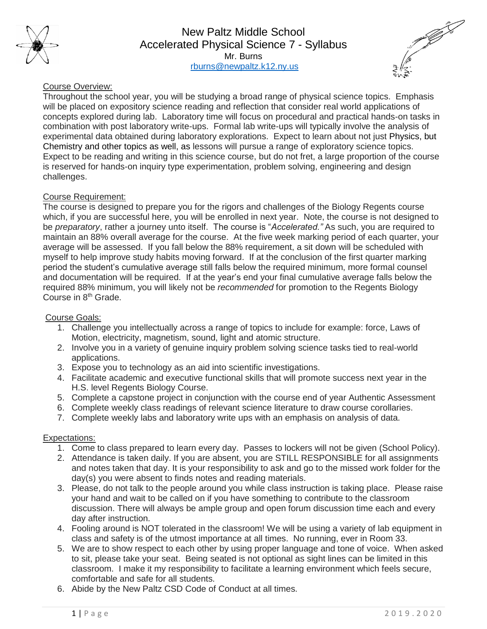

New Paltz Middle School Accelerated Physical Science 7 - Syllabus Mr. Burns [rburns@newpaltz.k12.ny.us](mailto:rburns@newpaltz.k12.ny.us)



# Course Overview:

Throughout the school year, you will be studying a broad range of physical science topics. Emphasis will be placed on expository science reading and reflection that consider real world applications of concepts explored during lab. Laboratory time will focus on procedural and practical hands-on tasks in combination with post laboratory write-ups. Formal lab write-ups will typically involve the analysis of experimental data obtained during laboratory explorations. Expect to learn about not just Physics, but Chemistry and other topics as well, as lessons will pursue a range of exploratory science topics. Expect to be reading and writing in this science course, but do not fret, a large proportion of the course is reserved for hands-on inquiry type experimentation, problem solving, engineering and design challenges.

# Course Requirement:

The course is designed to prepare you for the rigors and challenges of the Biology Regents course which, if you are successful here, you will be enrolled in next year. Note, the course is not designed to be *preparatory*, rather a journey unto itself. The course is "*Accelerated."* As such, you are required to maintain an 88% overall average for the course. At the five week marking period of each quarter, your average will be assessed. If you fall below the 88% requirement, a sit down will be scheduled with myself to help improve study habits moving forward. If at the conclusion of the first quarter marking period the student's cumulative average still falls below the required minimum, more formal counsel and documentation will be required. If at the year's end your final cumulative average falls below the required 88% minimum, you will likely not be *recommended* for promotion to the Regents Biology Course in 8<sup>th</sup> Grade.

### Course Goals:

- 1. Challenge you intellectually across a range of topics to include for example: force, Laws of Motion, electricity, magnetism, sound, light and atomic structure.
- 2. Involve you in a variety of genuine inquiry problem solving science tasks tied to real-world applications.
- 3. Expose you to technology as an aid into scientific investigations.
- 4. Facilitate academic and executive functional skills that will promote success next year in the H.S. level Regents Biology Course.
- 5. Complete a capstone project in conjunction with the course end of year Authentic Assessment
- 6. Complete weekly class readings of relevant science literature to draw course corollaries.
- 7. Complete weekly labs and laboratory write ups with an emphasis on analysis of data.

### Expectations:

- 1. Come to class prepared to learn every day. Passes to lockers will not be given (School Policy).
- 2. Attendance is taken daily. If you are absent, you are STILL RESPONSIBLE for all assignments and notes taken that day. It is your responsibility to ask and go to the missed work folder for the day(s) you were absent to finds notes and reading materials.
- 3. Please, do not talk to the people around you while class instruction is taking place. Please raise your hand and wait to be called on if you have something to contribute to the classroom discussion. There will always be ample group and open forum discussion time each and every day after instruction.
- 4. Fooling around is NOT tolerated in the classroom! We will be using a variety of lab equipment in class and safety is of the utmost importance at all times. No running, ever in Room 33.
- 5. We are to show respect to each other by using proper language and tone of voice. When asked to sit, please take your seat. Being seated is not optional as sight lines can be limited in this classroom. I make it my responsibility to facilitate a learning environment which feels secure, comfortable and safe for all students.
- 6. Abide by the New Paltz CSD Code of Conduct at all times.